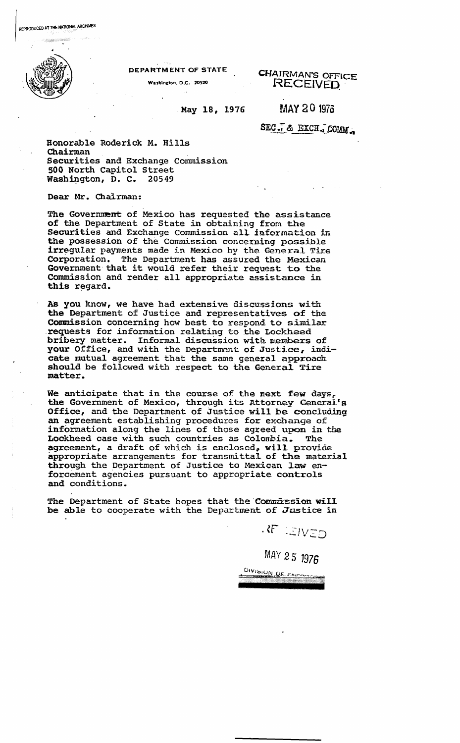DEPARTMENT OF STATE

Washington, D.C. 20520

CHAIRMAN'S OFFiCE RECEIVED,

May 18, 1976

MAY 20 1976

SEC. & EXCH. COMM.

Honorable Roderick M. Hills Chairman Securities and Exchange commission 500 North Capitol Street Washington, D. C. 20549

Dear Mr. Chairman:

The Government of Mexico has requested the assistance of the Department of State in obtaining from the Securities and Exchange Commission all information in the possession of the commission concerning possible irregular payments made in Mexico by the General Tire Corporation. The Department has assured the Mexican Government that it would refer their request to the Commission and render all appropriate assistance in this regard.

As you know, we have had extensive discussions with the Department of Justice and representatives of the Commission concerning how best to respond to similar requests for information relating to the Lockheed bribery matter. Informal discussion with members of your Office, and with the Department of Justice, indicate mutual agreement that the same general approach should be followed with respect to the General Tire matter.

We anticipate that in the course of the next few days, the Government of Mexico, through its Attorney General's Office, and the Department of Justice will be concluding an agreement establishing procedures for exchange of information along the lines of those agreed upon in the Lockheed case with such countries as Colombia. The Lockheed case with such countries as Colombia. agreement, a draft of which is enclosed, wil1 provide appropriate arrangements for transmittal of the material through the Department of Justice to Mexican law enforcement agencies pursuant to appropriate controls and conditions.

The Department of State hopes that the Commission will be able to cooperate with the Department of Justice in

**REVEIVED** 

MAY 25 1976

DIVISION OF FAIRS